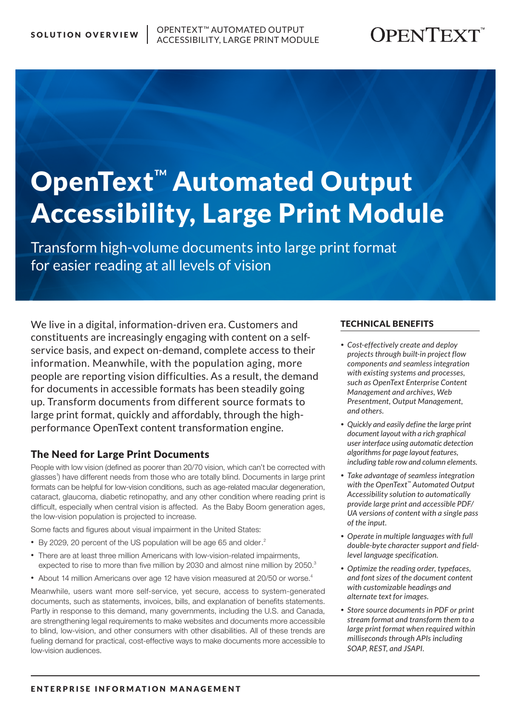# OpenText™ Automated Output Accessibility, Large Print Module

Transform high-volume documents into large print format for easier reading at all levels of vision

We live in a digital, information-driven era. Customers and constituents are increasingly engaging with content on a selfservice basis, and expect on-demand, complete access to their information. Meanwhile, with the population aging, more people are reporting vision difficulties. As a result, the demand for documents in accessible formats has been steadily going up. Transform documents from different source formats to large print format, quickly and affordably, through the highperformance OpenText content transformation engine.

# The Need for Large Print Documents

People with low vision (defined as poorer than 20/70 vision, which can't be corrected with glasses<sup>1</sup>) have different needs from those who are totally blind. Documents in large print formats can be helpful for low-vision conditions, such as age-related macular degeneration, cataract, glaucoma, diabetic retinopathy, and any other condition where reading print is difficult, especially when central vision is affected. As the Baby Boom generation ages, the low-vision population is projected to increase.

Some facts and figures about visual impairment in the United States:

- By 2029, 20 percent of the US population will be age 65 and older.<sup>2</sup>
- There are at least three million Americans with low-vision-related impairments, expected to rise to more than five million by 2030 and almost nine million by 2050. $3$
- About 14 million Americans over age 12 have vision measured at 20/50 or worse.<sup>4</sup>

Meanwhile, users want more self-service, yet secure, access to system-generated documents, such as statements, invoices, bills, and explanation of benefits statements. Partly in response to this demand, many governments, including the U.S. and Canada, are strengthening legal requirements to make websites and documents more accessible to blind, low-vision, and other consumers with other disabilities. All of these trends are fueling demand for practical, cost-effective ways to make documents more accessible to low-vision audiences.

#### TECHNICAL BENEFITS

- *Cost-effectively create and deploy projects through built-in project flow components and seamless integration with existing systems and processes, such as OpenText Enterprise Content Management and archives, Web Presentment, Output Management, and others.*
- *Quickly and easily define the large print document layout with a rich graphical user interface using automatic detection algorithms for page layout features, including table row and column elements.*
- *Take advantage of seamless integration with the OpenText™ Automated Output Accessibility solution to automatically provide large print and accessible PDF/ UA versions of content with a single pass of the input.*
- *Operate in multiple languages with full double-byte character support and fieldlevel language specification.*
- *Optimize the reading order, typefaces, and font sizes of the document content with customizable headings and alternate text for images.*
- *Store source documents in PDF or print stream format and transform them to a large print format when required within milliseconds through APIs including SOAP, REST, and JSAPI.*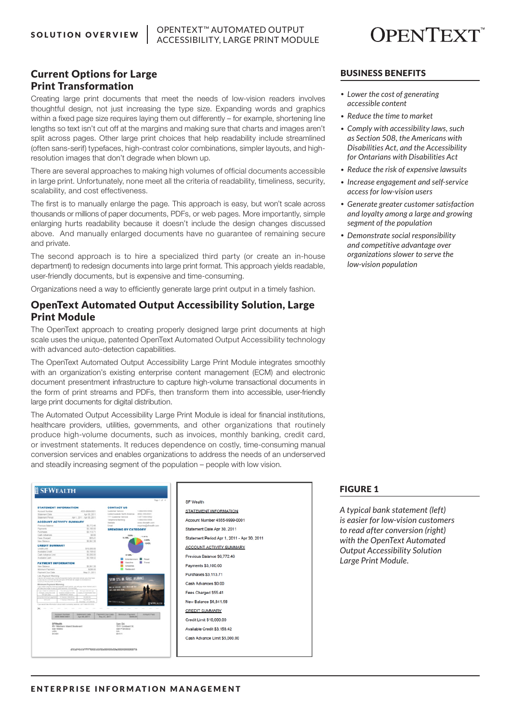

# Current Options for Large Print Transformation

Creating large print documents that meet the needs of low-vision readers involves thoughtful design, not just increasing the type size. Expanding words and graphics within a fixed page size requires laying them out differently – for example, shortening line lengths so text isn't cut off at the margins and making sure that charts and images aren't split across pages. Other large print choices that help readability include streamlined (often sans-serif) typefaces, high-contrast color combinations, simpler layouts, and highresolution images that don't degrade when blown up.

There are several approaches to making high volumes of official documents accessible in large print. Unfortunately, none meet all the criteria of readability, timeliness, security, scalability, and cost effectiveness.

The first is to manually enlarge the page. This approach is easy, but won't scale across thousands or millions of paper documents, PDFs, or web pages. More importantly, simple enlarging hurts readability because it doesn't include the design changes discussed above. And manually enlarged documents have no guarantee of remaining secure and private.

The second approach is to hire a specialized third party (or create an in-house department) to redesign documents into large print format. This approach yields readable, user-friendly documents, but is expensive and time-consuming.

Organizations need a way to efficiently generate large print output in a timely fashion.

### OpenText Automated Output Accessibility Solution, Large Print Module

The OpenText approach to creating properly designed large print documents at high scale uses the unique, patented OpenText Automated Output Accessibility technology with advanced auto-detection capabilities.

The OpenText Automated Output Accessibility Large Print Module integrates smoothly with an organization's existing enterprise content management (ECM) and electronic document presentment infrastructure to capture high-volume transactional documents in the form of print streams and PDFs, then transform them into accessible, user-friendly large print documents for digital distribution.

The Automated Output Accessibility Large Print Module is ideal for financial institutions, healthcare providers, utilities, governments, and other organizations that routinely produce high-volume documents, such as invoices, monthly banking, credit card, or investment statements. It reduces dependence on costly, time-consuming manual conversion services and enables organizations to address the needs of an underserved and steadily increasing segment of the population – people with low vision.

#### **SFWEALTH** SF Wealth **SYAVES** STATEMENT INFORMATION count Number 4555-9999-0001 Statement Date Apr 30, 2011 **CREDITS ACCOUNT ACTIVITY SUMMARY** Previous Balance \$6,772.46 **PAYMENT II** Payments \$3,100.00 Purchases \$3,113.71 Cash Advances \$0.00 Fees Charged \$55.41 New Balance \$6,841.58 **CREDIT SUMMARY** Credit Limit \$10,000.00 Available Credit \$3,158.42 Cash Advance Limit \$5,000.00

# ment Period Apr 1, 2011 - Apr 30, 2011

#### BUSINESS BENEFITS

- *• Lower the cost of generating accessible content*
- *• Reduce the time to market*
- *• Comply with accessibility laws, such as Section 508, the Americans with Disabilities Act, and the Accessibility for Ontarians with Disabilities Act*
- *• Reduce the risk of expensive lawsuits*
- *• Increase engagement and self-service access for low-vision users*
- *• Generate greater customer satisfaction and loyalty among a large and growing segment of the population*
- *• Demonstrate social responsibility and competitive advantage over organizations slower to serve the low-vision population*

#### FIGURE 1

*A typical bank statement (left) is easier for low-vision customers to read after conversion (right) with the OpenText Automated Output Accessibility Solution Large Print Module.*